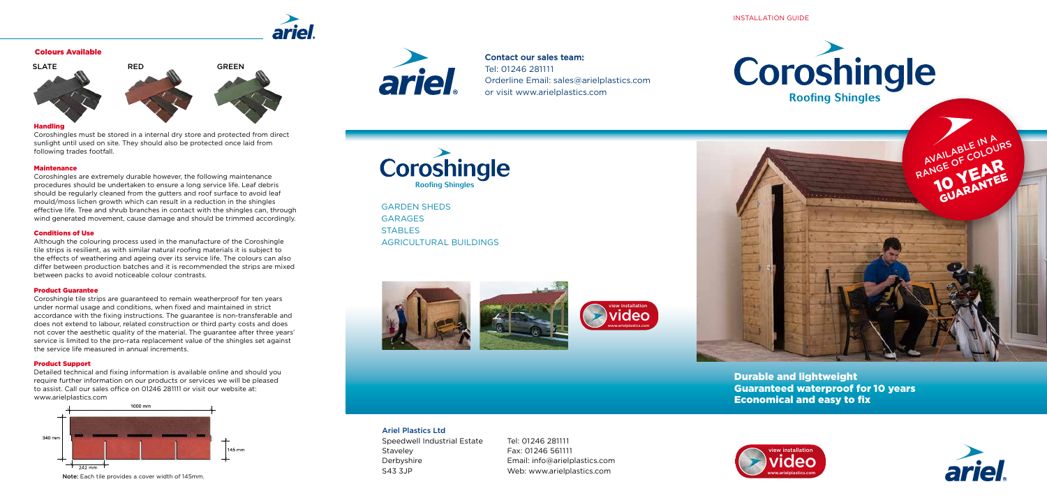## Ariel Plastics Ltd

Speedwell Industrial Estate Staveley Derbyshire S43 3JP

Tel: 01246 281111 Fax: 01246 561111 Email: info@arielplastics.com Web: www.arielplastics.com

GARDEN SHEDS GARAGES STABLES AGRICULTURAL BUILDINGS





#### INSTALLATION GUIDE

#### Handling

Coroshingles must be stored in a internal dry store and protected from direct sunlight until used on site. They should also be protected once laid from following trades footfall.

#### Maintenance

Coroshingles are extremely durable however, the following maintenance procedures should be undertaken to ensure a long service life. Leaf debris should be regularly cleaned from the gutters and roof surface to avoid leaf mould/moss lichen growth which can result in a reduction in the shingles effective life. Tree and shrub branches in contact with the shingles can, through wind generated movement, cause damage and should be trimmed accordingly.

#### Conditions of Use

Although the colouring process used in the manufacture of the Coroshingle tile strips is resilient, as with similar natural roofing materials it is subject to the effects of weathering and ageing over its service life. The colours can also differ between production batches and it is recommended the strips are mixed between packs to avoid noticeable colour contrasts.

#### Product Guarantee

Coroshingle tile strips are guaranteed to remain weatherproof for ten years under normal usage and conditions, when fixed and maintained in strict accordance with the fixing instructions. The guarantee is non-transferable and does not extend to labour, related construction or third party costs and does not cover the aesthetic quality of the material. The guarantee after three years' service is limited to the pro-rata replacement value of the shingles set against the service life measured in annual increments.

#### Product Support

Detailed technical and fixing information is available online and should you require further information on our products or services we will be pleased to assist. Call our sales office on 01246 281111 or visit our website at: www.arielplastics.com



Note: Each tile provides a cover width of 145mm.





Contact our sales team: Tel: 01246 281111 Orderline Email: sales@arielplastics.com or visit www.arielplastics.com









### Colours Available





Durable and lightweight Guaranteed waterproof for 10 years Economical and easy to fix